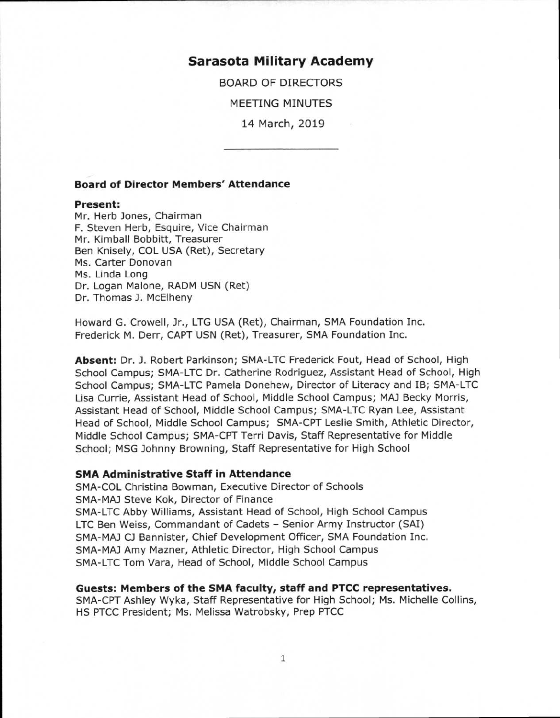# **Sarasota Military Academy**

BOARD OF DIRECTORS

MEETING MINUTES

14 March, 2019

### **Board of Director Members' Attendance**

#### **Present:**

Mr. Herb Jones, Chairman F. Steven Herb, Esquire, Vice Chairman Mr. Kimball Bobbitt, Treasurer Ben Knisely, COL USA (Ret), Secretary Ms. Carter Donovan Ms. Linda Long Dr. Logan Malone, RADM USN (Ret) Dr. Thomas J. McElheny

Howard G. Crowell, Jr., LTG USA (Ret), Chairman, SMA Foundation Inc. Frederick M. Derr, CAPT USN (Ret), Treasurer, SMA Foundation Inc.

**Absent:** Dr. J. Robert Parkinson; SMA-LTC Frederick Fout, Head of School, High School Campus; SMA-LTC Dr. Catherine Rodriguez, Assistant Head of School, High School Campus; SMA-LTC Pamela Donehew, Director of Literacy and IB; SMA-LTC Lisa Currie, Assistant Head of School, Middle School Campus; MAJ Becky Morris, Assistant Head of School, Middle School Campus; SMA-LTC Ryan Lee, Assistant Head of School, Middle School Campus; SMA-CPT Leslie Smith, Athletic Director, Middle School Campus; SMA-CPT Terri Davis, Staff Representative for Middle School; MSG Johnny Browning, Staff Representative for High School

## **SMA Administrative Staff in Attendance**

SMA-COL Christina Bowman, Executive Director of Schools SMA-MAJ Steve Kok, Director of Finance SMA-LTC Abby Williams, Assistant Head of School, High School Campus LTC Ben Weiss, Commandant of Cadets - Senior Army Instructor (SAI) SMA-MAJ CJ Bannister, Chief Development Officer, SMA Foundation Inc. SMA-MAJ Amy Mazner, Athletic Director, High School Campus SMA-LTC Tom Vara, Head of School, Middle School Campus

#### **Guests: Members of the SMA faculty, staff and PTCC representatives.**

SMA- CPT Ashley Wyka, Staff Representative for High School; Ms. Michelle Collins, HS PTCC President; Ms. Melissa Watrobsky, Prep PTCC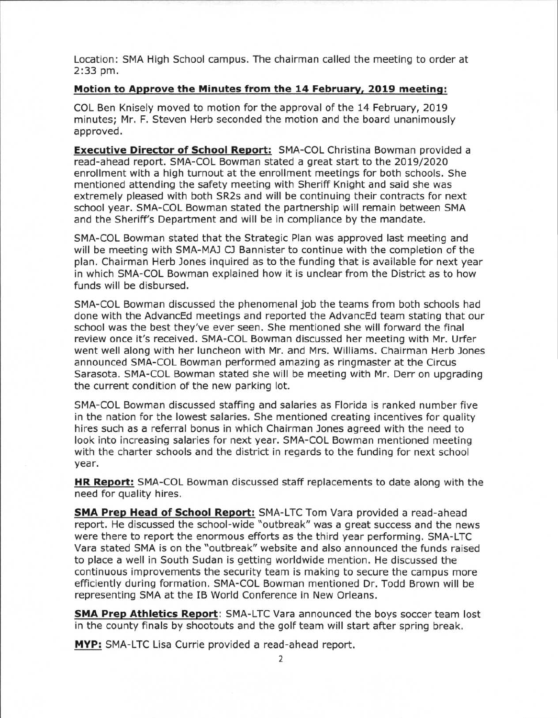Location: SMA High School campus. The chairman called the meeting to order at 2:33 pm.

## **Motion to Approve the Minutes from the 14 February, 2019 meeting:**

COL Ben Knisely moved to motion for the approval of the 14 February, 2019 minutes; Mr. F. Steven Herb seconded the motion and the board unanimously approved.

**Executive Director of School Report:** SMA-COL Christina Bowman provided a read-ahead report. SMA-COL Bowman stated a great start to the 2019/2020 enrollment with a high turnout at the enrollment meetings for both schools. She mentioned attending the safety meeting with Sheriff Knight and said she was extremely pleased with both SR2s and will be continuing their contracts for next school year. SMA-COL Bowman stated the partnership will remain between SMA and the Sheriff's Department and will be in compliance by the mandate.

SMA-COL Bowman stated that the Strategic Plan was approved last meeting and will be meeting with SMA-MAJ CJ Bannister to continue with the completion of the plan. Chairman Herb Jones inquired as to the funding that is available for next year in which SMA-COL Bowman explained how it is unclear from the District as to how funds will be disbursed.

SMA-COL Bowman discussed the phenomenal job the teams from both schools had done with the AdvancEd meetings and reported the AdvancEd team stating that our school was the best they've ever seen. She mentioned she will forward the final review once it's received. SMA-COL Bowman discussed her meeting with Mr. Urfer went well along with her luncheon with Mr. and Mrs. Williams. Chairman Herb Jones announced SMA-COL Bowman performed amazing as ringmaster at the Circus Sarasota. SMA-COL Bowman stated she will be meeting with Mr. Derr on upgrading the current condition of the new parking lot.

SMA-COL Bowman discussed staffing and salaries as Florida is ranked number five in the nation for the lowest salaries. She mentioned creating incentives for quality hires such as a referral bonus in which Chairman Jones agreed with the need to look into increasing salaries for next year. SMA-COL Bowman mentioned meeting with the charter schools and the district in regards to the funding for next school year.

**HR Report:** SMA-COL Bowman discussed staff replacements to date along with the need for quality hires.

**SMA Prep Head of School Report:** SMA-LTC Tom Vara provided a read-ahead report. He discussed the school-wide "outbreak" was a great success and the news were there to report the enormous efforts as the third year performing. SMA-LTC Vara stated SMA is on the "outbreak" website and also announced the funds raised to place a well in South Sudan is getting worldwide mention. He discussed the continuous improvements the security team is making to secure the campus more efficiently during formation. SMA-COL Bowman mentioned Dr. Todd Brown will be representing SMA at the IB World Conference in New Orleans.

**SMA Prep Athletics Report:** SMA-LTC Vara announced the boys soccer team lost in the county finals by shootouts and the golf team will start after spring break.

**MYP:** SMA-LTC Lisa Currie provided a read-ahead report.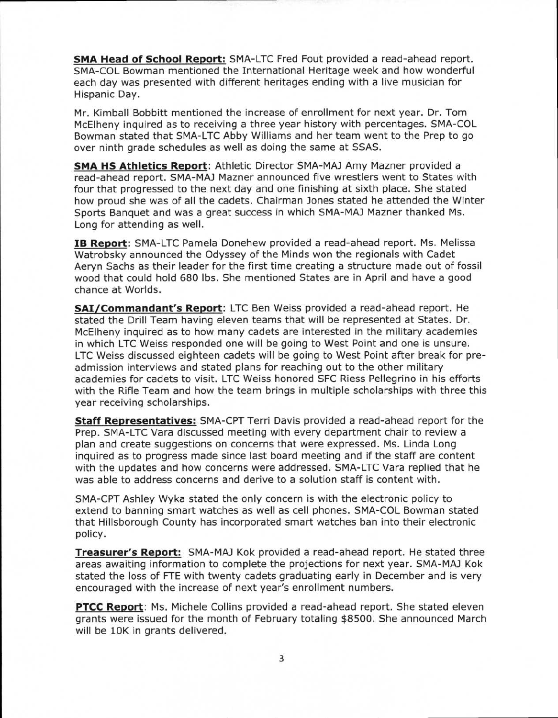**SMA Head of School Report:** SMA-LTC Fred Fout provided a read-ahead report. SMA-COL Bowman mentioned the International Heritage week and how wonderful each day was presented with different heritages ending with a live musician for Hispanic Day.

Mr. Kimball Bobbitt mentioned the increase of enrollment for next year. Dr. Tom McElheny inquired as to receiving a three year history with percentages. SMA-COL Bowman stated that SMA-LTC Abby Williams and her team went to the Prep to go over ninth grade schedules as well as doing the same at SSAS.

**SMA HS Athletics Report:** Athletic Director SMA-MAJ Amy Mazner provided a read-ahead report. SMA-MAJ Mazner announced five wrestlers went to States with four that progressed to the next day and one finishing at sixth place. She stated how proud she was of all the cadets. Chairman Jones stated he attended the Winter Sports Banquet and was a great success in which SMA-MAJ Mazner thanked Ms. Long for attending as well.

**IB Report:** SMA-LTC Pamela Donehew provided a read-ahead report. Ms. Melissa Watrobsky announced the Odyssey of the Minds won the regionals with Cadet Aeryn Sachs as their leader for the first time creating a structure made out of fossil wood that could hold 680 lbs. She mentioned States are in April and have a good chance at Worlds.

**SAI/Commandant's Report:** LTC Ben Weiss provided a read-ahead report. He stated the Drill Team having eleven teams that will be represented at States. Dr. McElheny inquired as to how many cadets are interested in the military academies in which LTC Weiss responded one will be going to West Point and one is unsure. LTC Weiss discussed eighteen cadets will be going to West Point after break for preadmission interviews and stated plans for reaching out to the other military academies for cadets to visit. LTC Weiss honored SFC Riess Pellegrino in his efforts with the Rifle Team and how the team brings in multiple scholarships with three this year receiving scholarships.

**Staff Representatives:** SMA-CPT Terri Davis provided a read-ahead report for the Prep. SMA-LTC Vara discussed meeting with every department chair to review a plan and create suggestions on concerns that were expressed. Ms. Linda Long inquired as to progress made since last board meeting and if the staff are content with the updates and how concerns were addressed. SMA-LTC Vara replied that he was able to address concerns and derive to a solution staff is content with.

SMA-CPT Ashley Wyka stated the only concern is with the electronic policy to extend to banning smart watches as well as cell phones. SMA-COL Bowman stated that Hillsborough County has incorporated smart watches ban into their electronic policy.

**Treasurer's Report:** SMA-MAJ Kok provided a read-ahead report. He stated three areas awaiting information to complete the projections for next year. SMA-MAJ Kok stated the loss of FTE with twenty cadets graduating early in December and is very encouraged with the increase of next year's enrollment numbers.

**PTCC Report:** Ms. Michele Collins provided a read-ahead report. She stated eleven grants were issued for the month of February totaling \$8500. She announced March will be 10K in grants delivered.